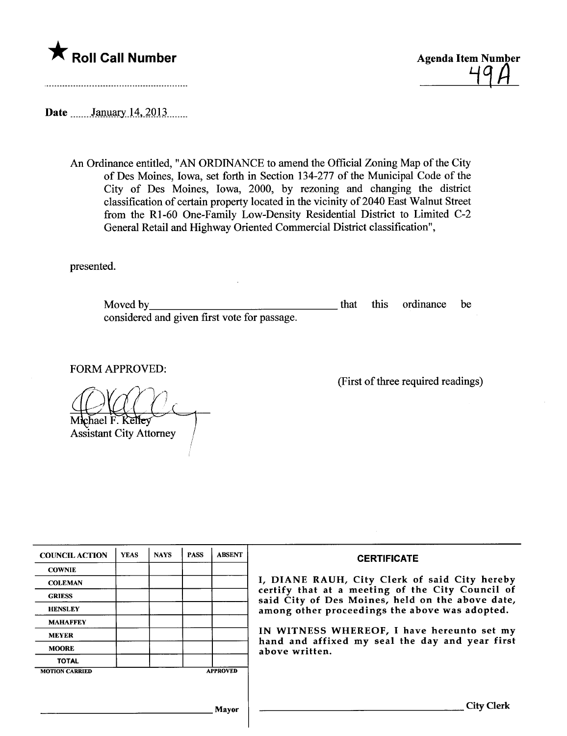



Date \_\_\_\_\_\_January 14, 2013

An Ordinance entitled, "AN ORDINANCE to amend the Official Zoning Map of the City of Des Moines, Iowa, set forth in Section 134-277 of the Municipal Code of the City of Des Moines, Iowa, 2000, by rezoning and changing the district classification of certain property located in the vicinity of 2040 East Walnut Street from the Rl-60 One-Family Low-Density Residential District to Limited C-2 General Retail and Highway Oriented Commercial District classification",

presented.

Moved by considered and given first vote for passage. that this ordinance be

FORM APPROVED:

Michael F. Kelley **Assistant City Attorney** 

(First of three required readings)

| <b>COUNCIL ACTION</b> | <b>YEAS</b> | <b>NAYS</b> | <b>PASS</b> | <b>ABSENT</b>   | <b>CERTIFICATE</b>                                                                                                                                                                                                                                                                                                         |
|-----------------------|-------------|-------------|-------------|-----------------|----------------------------------------------------------------------------------------------------------------------------------------------------------------------------------------------------------------------------------------------------------------------------------------------------------------------------|
| <b>COWNIE</b>         |             |             |             |                 |                                                                                                                                                                                                                                                                                                                            |
| <b>COLEMAN</b>        |             |             |             |                 | I, DIANE RAUH, City Clerk of said City hereby<br>certify that at a meeting of the City Council of<br>said City of Des Moines, held on the above date,<br>among other proceedings the above was adopted.<br>IN WITNESS WHEREOF, I have hereunto set my<br>hand and affixed my seal the day and year first<br>above written. |
| <b>GRIESS</b>         |             |             |             |                 |                                                                                                                                                                                                                                                                                                                            |
| <b>HENSLEY</b>        |             |             |             |                 |                                                                                                                                                                                                                                                                                                                            |
| <b>MAHAFFEY</b>       |             |             |             |                 |                                                                                                                                                                                                                                                                                                                            |
| <b>MEYER</b>          |             |             |             |                 |                                                                                                                                                                                                                                                                                                                            |
| <b>MOORE</b>          |             |             |             |                 |                                                                                                                                                                                                                                                                                                                            |
| <b>TOTAL</b>          |             |             |             |                 |                                                                                                                                                                                                                                                                                                                            |
| <b>MOTION CARRIED</b> |             |             |             | <b>APPROVED</b> |                                                                                                                                                                                                                                                                                                                            |
|                       |             |             |             |                 |                                                                                                                                                                                                                                                                                                                            |
|                       |             |             |             | Mavor           | City Clerk                                                                                                                                                                                                                                                                                                                 |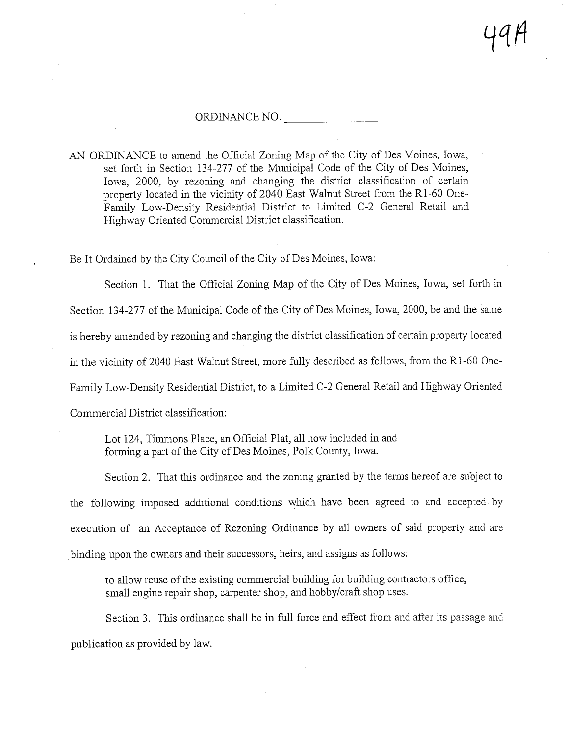## ORDINANCE NO.

AN ORDINANCE to amend the Official Zoning Map of the City of Des Moines, Iowa, set forth in Section 134-277 of the Municipal Code of the City of Des Moines, Iowa, 2000, by rezoning and changing the district classification of certain property located in the vicinity of 2040 East Walnut Street from the R1-60 One-Family Low-Density Residential District to Limited C-2 General Retail and Highway Oriented Commercial District classification.

Be It Ordained by the City Council of the City of Des Moines, Iowa:

Section 1. That the Official Zoning Map of the City of Des Moines, Iowa, set forth in Section 134-277 of the Municipal Code of the City of Des Moines, Iowa, 2000, be and the same is hereby amended by rezoning and changing the district classification of certain property located in the vicinity of 2040 East Walnut Street, more fully described as follows, from the R1 -60 One-Family Low-Density Residential District, to a Limited C-2 General Retail and Highway Oriented Commercial District classification:

Lot 124, Timmons Place, an Official Plat, all now included in and forming a part of the City of Des Moines, Polk County, Iowa.

Section 2. That this ordinance and the zoning granted by the terms hereof are subject to the following imposed additional conditions which have been agreed to and accepted by execution of an Acceptance of Rezoning Ordinance by all owners of said property and are binding upon the owners and their successors, heirs, and assigns as follows:

to allow reuse of the existing commercial building for building contractors office, small engine repair shop, carpenter shop, and hobby/craft shop uses.

Section 3. This ordinance shall be in full force and effect from and after its passage and publication as provided by law.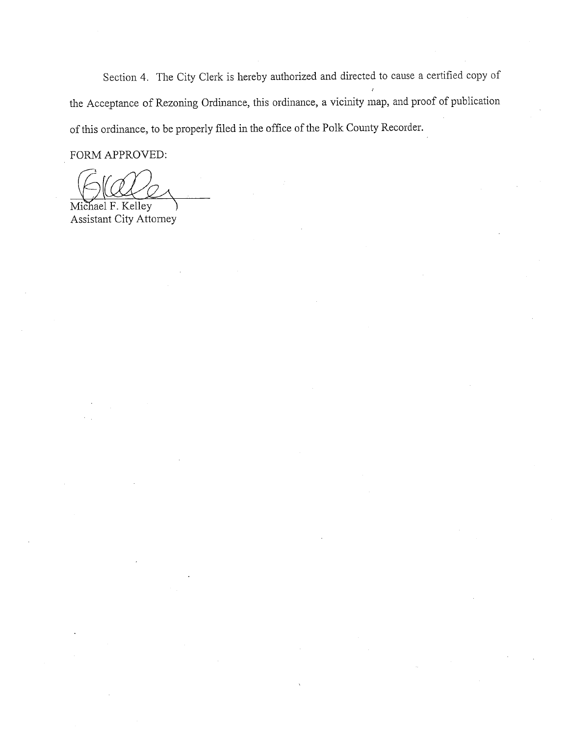Section 4. The City Clerk is hereby authorized and directed to cause a certified copy of the Acceptance of Rezoning Ordinance, this ordinance, a vicinity map, and proof of publication of this ordinance, to be properly filed in the office of the Polk County Recorder.

FORM APPROVED:

Michael F. Kelley Assistant City Attorney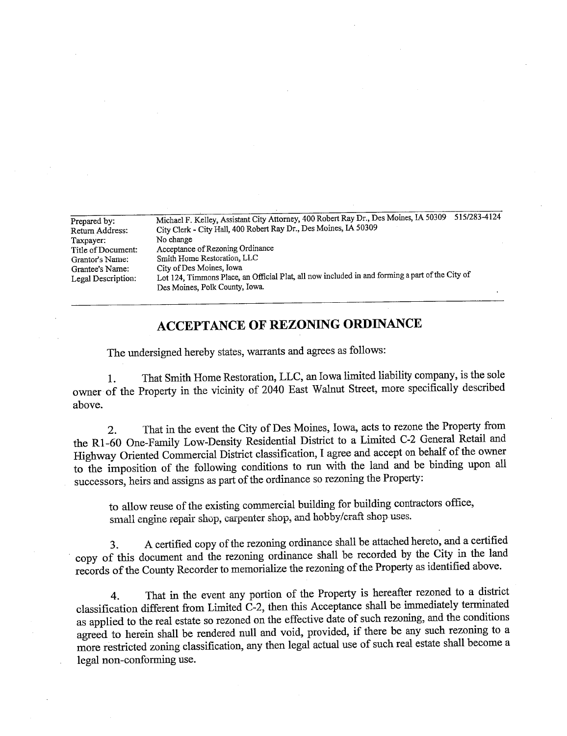| Prepared by:       | 515/283-4124<br>Michael F. Kelley, Assistant City Attorney, 400 Robert Ray Dr., Des Moines, IA 50309 |  |  |  |  |  |
|--------------------|------------------------------------------------------------------------------------------------------|--|--|--|--|--|
| Return Address:    | City Clerk - City Hall, 400 Robert Ray Dr., Des Moines, IA 50309<br>No change                        |  |  |  |  |  |
| Taxpayer:          |                                                                                                      |  |  |  |  |  |
| Title of Document: | Acceptance of Rezoning Ordinance                                                                     |  |  |  |  |  |
| Grantor's Name:    | Smith Home Restoration, LLC                                                                          |  |  |  |  |  |
| Grantee's Name:    | City of Des Moines, Iowa                                                                             |  |  |  |  |  |
| Legal Description: | Lot 124, Timmons Place, an Official Plat, all now included in and forming a part of the City of      |  |  |  |  |  |
|                    | Des Moines, Polk County, Iowa.                                                                       |  |  |  |  |  |
|                    |                                                                                                      |  |  |  |  |  |

## ACCEPTANCE OF REZONING ORDINANCE

The undersigned hereby states, warants and agrees as follows:

1. That Smith Home Restoration, LLC, an Iowa limted liability company, is the sole owner of the Property in the vicinty of 2040 East Walut Street, more specifically described above.

2. That in the event the City of Des Moines, Iowa, acts to rezone the Property from the Rl-60 One-Famly Low-Density Residential District to a Limted C-2 General Retail and Highway Oriented Commercial District classification, I agree and accept on behalf of the owner to the imposition of the following conditions to run with the land and be binding upon all successors, heirs and assigns as part of the ordinance so rezoning the Property:

to allow reuse of the existing commercial building for building contractors office, small engine repair shop, carpenter shop, and hobby/craft shop uses.

3. A certified copy of the rezonig ordinance shall be attached hereto, and a certified copy of this document and the rezoning ordinance shall be recorded by the City in the land records of the County Recorder to memorialize the rezoning of the Property as identified above.

4. That in the event any portion of the Property is hereafter rezoned to a district classification different from Limited  $C-2$ , then this Acceptance shall be immediately terminated as applied to the real estate so rezoned on the effective date of such rezoning, and the conditions agreed to herein shall be rendered null and void, provided, if there be any such rezoning to a more restricted zonig classification, any then legal actual use of such real estate shall become a legal non-conforming use.